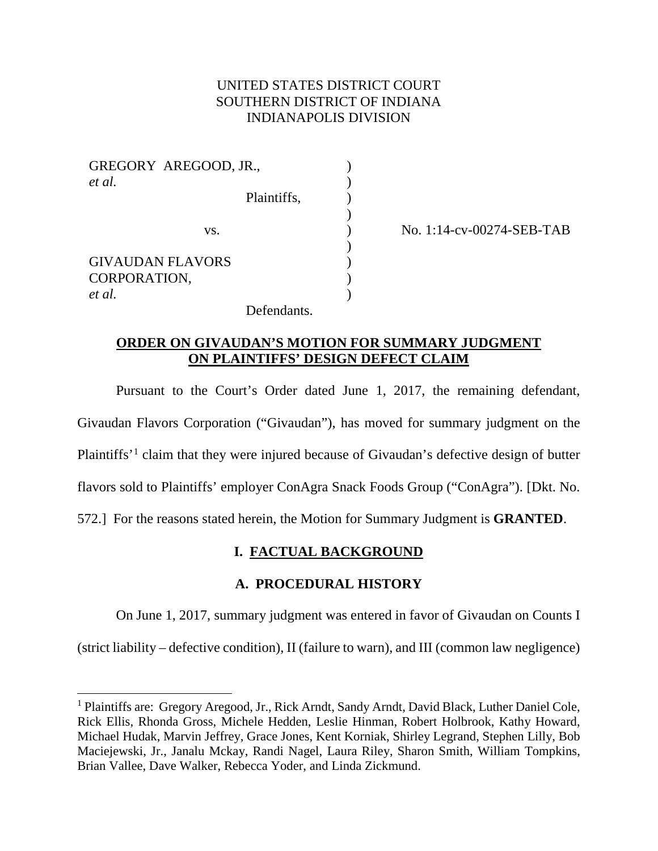## UNITED STATES DISTRICT COURT SOUTHERN DISTRICT OF INDIANA INDIANAPOLIS DIVISION

| GREGORY AREGOOD, JR.,<br>et al.                   |             |  |
|---------------------------------------------------|-------------|--|
|                                                   | Plaintiffs, |  |
| VS.                                               |             |  |
| <b>GIVAUDAN FLAVORS</b><br>CORPORATION,<br>et al. |             |  |
|                                                   | Defendants. |  |

No. 1:14-cv-00274-SEB-TAB

## **ORDER ON GIVAUDAN'S MOTION FOR SUMMARY JUDGMENT ON PLAINTIFFS' DESIGN DEFECT CLAIM**

Pursuant to the Court's Order dated June 1, 2017, the remaining defendant, Givaudan Flavors Corporation ("Givaudan"), has moved for summary judgment on the Plaintiffs'[1](#page-0-0) claim that they were injured because of Givaudan's defective design of butter flavors sold to Plaintiffs' employer ConAgra Snack Foods Group ("ConAgra"). [Dkt. No. 572.] For the reasons stated herein, the Motion for Summary Judgment is **GRANTED**.

# **I. FACTUAL BACKGROUND**

# **A. PROCEDURAL HISTORY**

On June 1, 2017, summary judgment was entered in favor of Givaudan on Counts I

(strict liability – defective condition), II (failure to warn), and III (common law negligence)

<span id="page-0-0"></span><sup>&</sup>lt;sup>1</sup> Plaintiffs are: Gregory Aregood, Jr., Rick Arndt, Sandy Arndt, David Black, Luther Daniel Cole, Rick Ellis, Rhonda Gross, Michele Hedden, Leslie Hinman, Robert Holbrook, Kathy Howard, Michael Hudak, Marvin Jeffrey, Grace Jones, Kent Korniak, Shirley Legrand, Stephen Lilly, Bob Maciejewski, Jr., Janalu Mckay, Randi Nagel, Laura Riley, Sharon Smith, William Tompkins, Brian Vallee, Dave Walker, Rebecca Yoder, and Linda Zickmund.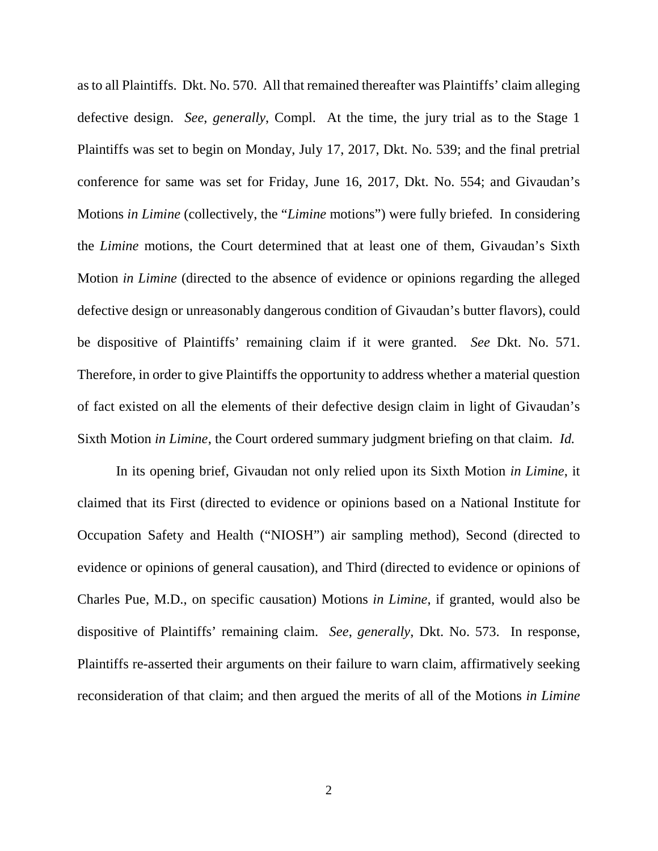as to all Plaintiffs. Dkt. No. 570. All that remained thereafter was Plaintiffs' claim alleging defective design. *See*, *generally*, Compl. At the time, the jury trial as to the Stage 1 Plaintiffs was set to begin on Monday, July 17, 2017, Dkt. No. 539; and the final pretrial conference for same was set for Friday, June 16, 2017, Dkt. No. 554; and Givaudan's Motions *in Limine* (collectively, the "*Limine* motions") were fully briefed. In considering the *Limine* motions, the Court determined that at least one of them, Givaudan's Sixth Motion *in Limine* (directed to the absence of evidence or opinions regarding the alleged defective design or unreasonably dangerous condition of Givaudan's butter flavors), could be dispositive of Plaintiffs' remaining claim if it were granted. *See* Dkt. No. 571. Therefore, in order to give Plaintiffs the opportunity to address whether a material question of fact existed on all the elements of their defective design claim in light of Givaudan's Sixth Motion *in Limine*, the Court ordered summary judgment briefing on that claim. *Id.*

In its opening brief, Givaudan not only relied upon its Sixth Motion *in Limine*, it claimed that its First (directed to evidence or opinions based on a National Institute for Occupation Safety and Health ("NIOSH") air sampling method), Second (directed to evidence or opinions of general causation), and Third (directed to evidence or opinions of Charles Pue, M.D., on specific causation) Motions *in Limine*, if granted, would also be dispositive of Plaintiffs' remaining claim. *See*, *generally*, Dkt. No. 573. In response, Plaintiffs re-asserted their arguments on their failure to warn claim, affirmatively seeking reconsideration of that claim; and then argued the merits of all of the Motions *in Limine*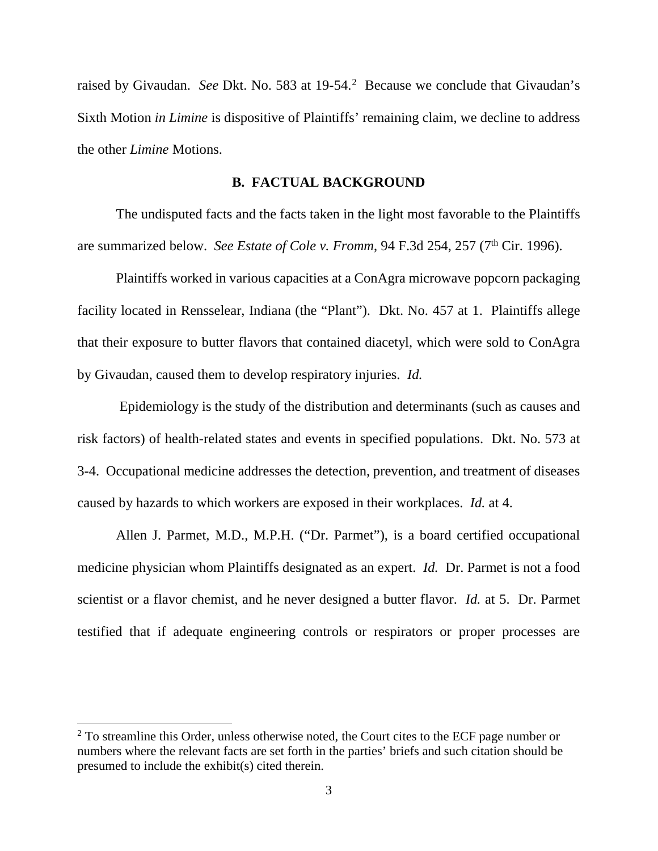raised by Givaudan. *See* Dkt. No. 583 at 19-54.[2](#page-2-0) Because we conclude that Givaudan's Sixth Motion *in Limine* is dispositive of Plaintiffs' remaining claim, we decline to address the other *Limine* Motions.

### **B. FACTUAL BACKGROUND**

The undisputed facts and the facts taken in the light most favorable to the Plaintiffs are summarized below. *See Estate of Cole v. Fromm*, 94 F.3d 254, 257 (7<sup>th</sup> Cir. 1996).

Plaintiffs worked in various capacities at a ConAgra microwave popcorn packaging facility located in Rensselear, Indiana (the "Plant"). Dkt. No. 457 at 1. Plaintiffs allege that their exposure to butter flavors that contained diacetyl, which were sold to ConAgra by Givaudan, caused them to develop respiratory injuries. *Id.*

Epidemiology is the study of the distribution and determinants (such as causes and risk factors) of health-related states and events in specified populations. Dkt. No. 573 at 3-4. Occupational medicine addresses the detection, prevention, and treatment of diseases caused by hazards to which workers are exposed in their workplaces. *Id.* at 4.

Allen J. Parmet, M.D., M.P.H. ("Dr. Parmet"), is a board certified occupational medicine physician whom Plaintiffs designated as an expert. *Id.* Dr. Parmet is not a food scientist or a flavor chemist, and he never designed a butter flavor. *Id.* at 5. Dr. Parmet testified that if adequate engineering controls or respirators or proper processes are

<span id="page-2-0"></span> $2^{\circ}$  To streamline this Order, unless otherwise noted, the Court cites to the ECF page number or numbers where the relevant facts are set forth in the parties' briefs and such citation should be presumed to include the exhibit(s) cited therein.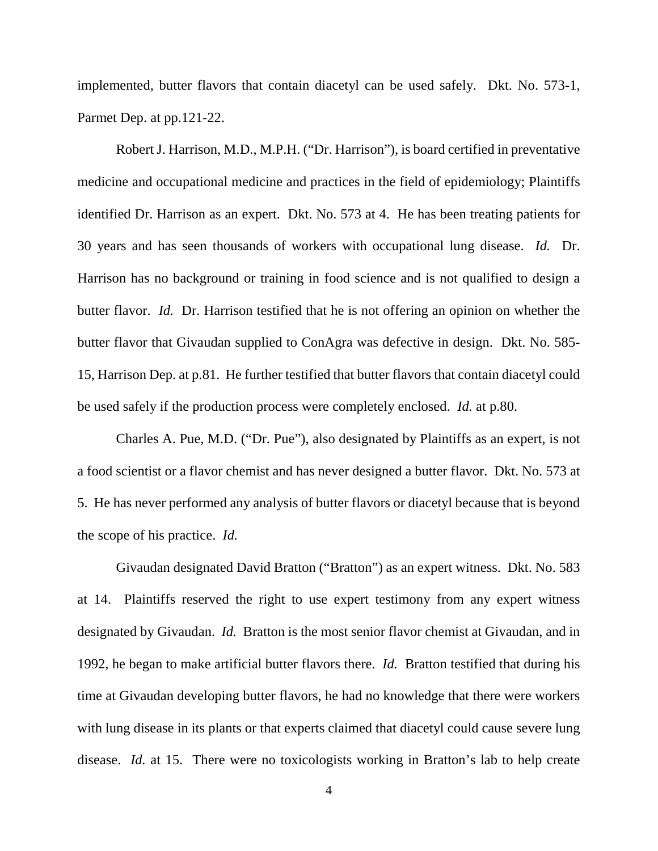implemented, butter flavors that contain diacetyl can be used safely. Dkt. No. 573-1, Parmet Dep. at pp.121-22.

Robert J. Harrison, M.D., M.P.H. ("Dr. Harrison"), is board certified in preventative medicine and occupational medicine and practices in the field of epidemiology; Plaintiffs identified Dr. Harrison as an expert. Dkt. No. 573 at 4. He has been treating patients for 30 years and has seen thousands of workers with occupational lung disease. *Id.* Dr. Harrison has no background or training in food science and is not qualified to design a butter flavor. *Id.* Dr. Harrison testified that he is not offering an opinion on whether the butter flavor that Givaudan supplied to ConAgra was defective in design. Dkt. No. 585- 15, Harrison Dep. at p.81. He further testified that butter flavors that contain diacetyl could be used safely if the production process were completely enclosed. *Id.* at p.80.

Charles A. Pue, M.D. ("Dr. Pue"), also designated by Plaintiffs as an expert, is not a food scientist or a flavor chemist and has never designed a butter flavor. Dkt. No. 573 at 5. He has never performed any analysis of butter flavors or diacetyl because that is beyond the scope of his practice. *Id.*

Givaudan designated David Bratton ("Bratton") as an expert witness. Dkt. No. 583 at 14. Plaintiffs reserved the right to use expert testimony from any expert witness designated by Givaudan. *Id.* Bratton is the most senior flavor chemist at Givaudan, and in 1992, he began to make artificial butter flavors there. *Id.* Bratton testified that during his time at Givaudan developing butter flavors, he had no knowledge that there were workers with lung disease in its plants or that experts claimed that diacetyl could cause severe lung disease. *Id.* at 15. There were no toxicologists working in Bratton's lab to help create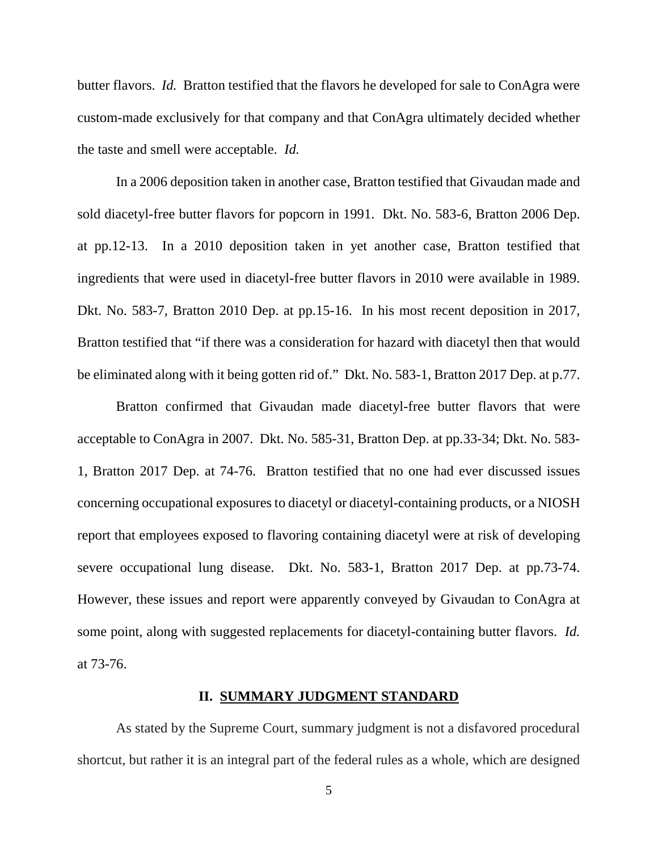butter flavors. *Id.* Bratton testified that the flavors he developed for sale to ConAgra were custom-made exclusively for that company and that ConAgra ultimately decided whether the taste and smell were acceptable. *Id.*

In a 2006 deposition taken in another case, Bratton testified that Givaudan made and sold diacetyl-free butter flavors for popcorn in 1991. Dkt. No. 583-6, Bratton 2006 Dep. at pp.12-13. In a 2010 deposition taken in yet another case, Bratton testified that ingredients that were used in diacetyl-free butter flavors in 2010 were available in 1989. Dkt. No. 583-7, Bratton 2010 Dep. at pp.15-16. In his most recent deposition in 2017, Bratton testified that "if there was a consideration for hazard with diacetyl then that would be eliminated along with it being gotten rid of." Dkt. No. 583-1, Bratton 2017 Dep. at p.77.

Bratton confirmed that Givaudan made diacetyl-free butter flavors that were acceptable to ConAgra in 2007. Dkt. No. 585-31, Bratton Dep. at pp.33-34; Dkt. No. 583- 1, Bratton 2017 Dep. at 74-76. Bratton testified that no one had ever discussed issues concerning occupational exposures to diacetyl or diacetyl-containing products, or a NIOSH report that employees exposed to flavoring containing diacetyl were at risk of developing severe occupational lung disease. Dkt. No. 583-1, Bratton 2017 Dep. at pp.73-74. However, these issues and report were apparently conveyed by Givaudan to ConAgra at some point, along with suggested replacements for diacetyl-containing butter flavors. *Id.* at 73-76.

#### **II. SUMMARY JUDGMENT STANDARD**

As stated by the Supreme Court, summary judgment is not a disfavored procedural shortcut, but rather it is an integral part of the federal rules as a whole, which are designed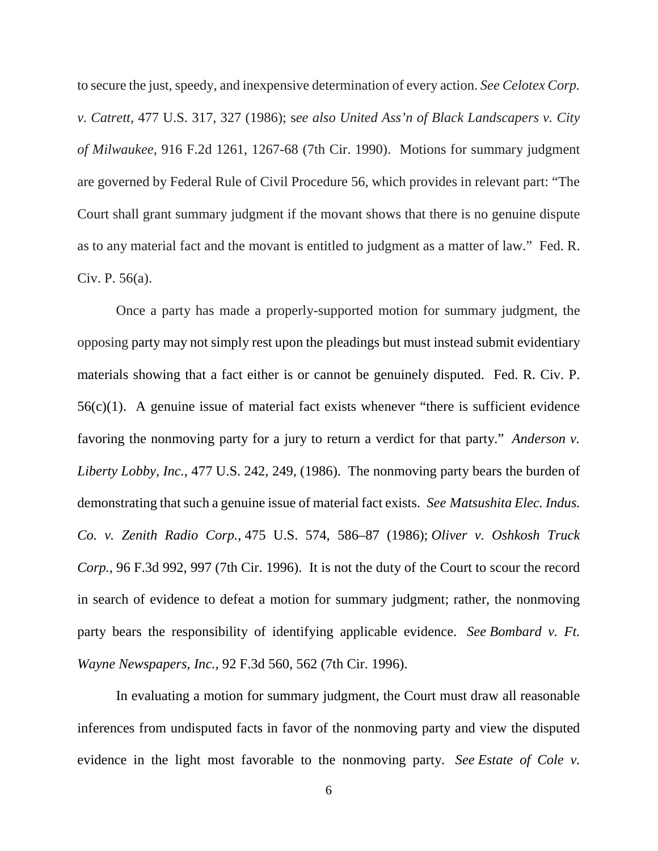to secure the just, speedy, and inexpensive determination of every action. *See Celotex Corp. v. Catrett*, 477 U.S. 317, 327 (1986); s*ee also United Ass'n of Black Landscapers v. City of Milwaukee*, 916 F.2d 1261, 1267-68 (7th Cir. 1990). Motions for summary judgment are governed by Federal Rule of Civil Procedure 56, which provides in relevant part: "The Court shall grant summary judgment if the movant shows that there is no genuine dispute as to any material fact and the movant is entitled to judgment as a matter of law." Fed. R. Civ. P. 56(a).

Once a party has made a properly-supported motion for summary judgment, the opposing party may not simply rest upon the pleadings but must instead submit evidentiary materials showing that a fact either is or cannot be genuinely disputed. Fed. R. Civ. P.  $56(c)(1)$ . A genuine issue of material fact exists whenever "there is sufficient evidence favoring the nonmoving party for a jury to return a verdict for that party." *Anderson v. Liberty Lobby, Inc.,* 477 U.S. 242, 249, (1986). The nonmoving party bears the burden of demonstrating that such a genuine issue of material fact exists. *See Matsushita Elec. Indus. Co. v. Zenith Radio Corp.,* 475 U.S. 574, 586–87 (1986); *[Oliver v. Oshkosh Truck](https://1.next.westlaw.com/Link/Document/FullText?findType=Y&serNum=1996215381&pubNum=506&originatingDoc=Ibcb54e9214f411e1be8fdb5fa26a1033&refType=RP&fi=co_pp_sp_506_997&originationContext=document&transitionType=DocumentItem&contextData=(sc.RelatedInfo)#co_pp_sp_506_997)  Corp.,* [96 F.3d 992, 997 \(7th Cir. 1996\).](https://1.next.westlaw.com/Link/Document/FullText?findType=Y&serNum=1996215381&pubNum=506&originatingDoc=Ibcb54e9214f411e1be8fdb5fa26a1033&refType=RP&fi=co_pp_sp_506_997&originationContext=document&transitionType=DocumentItem&contextData=(sc.RelatedInfo)#co_pp_sp_506_997) It is not the duty of the Court to scour the record in search of evidence to defeat a motion for summary judgment; rather, the nonmoving party bears the responsibility of identifying applicable evidence. *See [Bombard v. Ft.](https://1.next.westlaw.com/Link/Document/FullText?findType=Y&serNum=1996183489&pubNum=506&originatingDoc=Ibcb54e9214f411e1be8fdb5fa26a1033&refType=RP&fi=co_pp_sp_506_562&originationContext=document&transitionType=DocumentItem&contextData=(sc.RelatedInfo)#co_pp_sp_506_562)  Wayne Newspapers, Inc.,* [92 F.3d 560, 562 \(7th Cir. 1996\).](https://1.next.westlaw.com/Link/Document/FullText?findType=Y&serNum=1996183489&pubNum=506&originatingDoc=Ibcb54e9214f411e1be8fdb5fa26a1033&refType=RP&fi=co_pp_sp_506_562&originationContext=document&transitionType=DocumentItem&contextData=(sc.RelatedInfo)#co_pp_sp_506_562)

In evaluating a motion for summary judgment, the Court must draw all reasonable inferences from undisputed facts in favor of the nonmoving party and view the disputed evidence in the light most favorable to the nonmoving party. *See [Estate of Cole v.](https://1.next.westlaw.com/Link/Document/FullText?findType=Y&serNum=1996183487&pubNum=506&originatingDoc=Ibcb54e9214f411e1be8fdb5fa26a1033&refType=RP&fi=co_pp_sp_506_257&originationContext=document&transitionType=DocumentItem&contextData=(sc.RelatedInfo)#co_pp_sp_506_257)*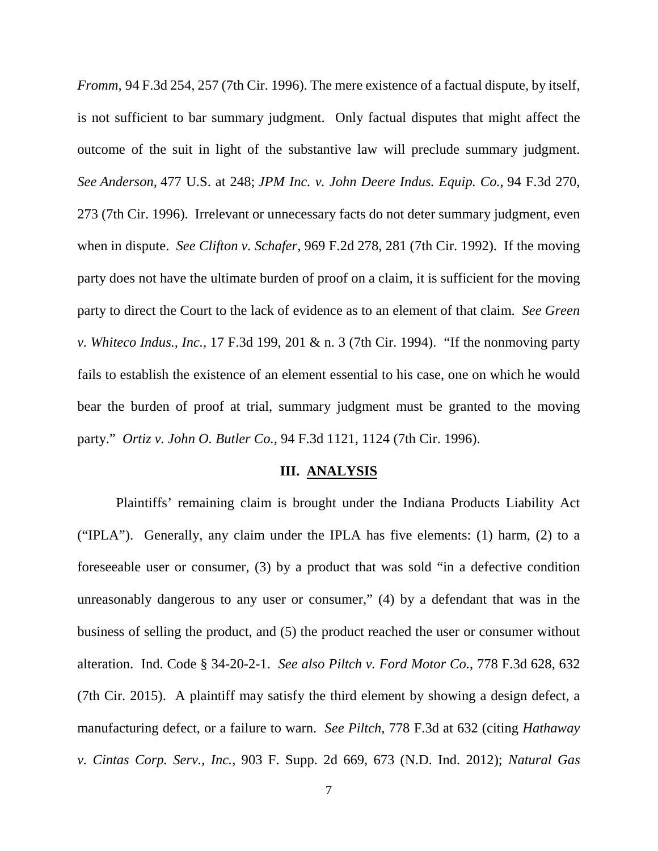*Fromm,* [94 F.3d 254, 257 \(7th Cir. 1996\).](https://1.next.westlaw.com/Link/Document/FullText?findType=Y&serNum=1996183487&pubNum=506&originatingDoc=Ibcb54e9214f411e1be8fdb5fa26a1033&refType=RP&fi=co_pp_sp_506_257&originationContext=document&transitionType=DocumentItem&contextData=(sc.RelatedInfo)#co_pp_sp_506_257) The mere existence of a factual dispute, by itself, is not sufficient to bar summary judgment. Only factual disputes that might affect the outcome of the suit in light of the substantive law will preclude summary judgment. *See Anderson,* [477 U.S. at 248;](https://1.next.westlaw.com/Link/Document/FullText?findType=Y&serNum=1986132674&pubNum=708&originatingDoc=Ibcb54e9214f411e1be8fdb5fa26a1033&refType=RP&originationContext=document&transitionType=DocumentItem&contextData=(sc.RelatedInfo)) *JPM Inc. v. John Deere Indus. Equip. Co.,* 94 F.3d 270, 273 (7th Cir. 1996). Irrelevant or unnecessary facts do not deter summary judgment, even when in dispute. *See Clifton v. Schafer,* 969 F.2d 278, 281 (7th Cir. 1992). If the moving party does not have the ultimate burden of proof on a claim, it is sufficient for the moving party to direct the Court to the lack of evidence as to an element of that claim. *See Green v. Whiteco Indus., Inc.,* 17 F.3d 199, 201 & n. 3 (7th Cir. 1994). "If the nonmoving party fails to establish the existence of an element essential to his case, one on which he would bear the burden of proof at trial, summary judgment must be granted to the moving party." *Ortiz v. John O. Butler Co.,* 94 F.3d 1121, 1124 (7th Cir. 1996).

### **III. ANALYSIS**

Plaintiffs' remaining claim is brought under the Indiana Products Liability Act ("IPLA"). Generally, any claim under the IPLA has five elements: (1) harm, (2) to a foreseeable user or consumer, (3) by a product that was sold "in a defective condition unreasonably dangerous to any user or consumer," (4) by a defendant that was in the business of selling the product, and (5) the product reached the user or consumer without alteration. Ind. Code § 34-20-2-1. *See also Piltch v. Ford Motor Co.*, 778 F.3d 628, 632 (7th Cir. 2015). A plaintiff may satisfy the third element by showing a design defect, a manufacturing defect, or a failure to warn. *See Piltch*, 778 F.3d at 632 (citing *Hathaway v. Cintas Corp. Serv., Inc.*, 903 F. Supp. 2d 669, 673 (N.D. Ind. 2012); *Natural Gas*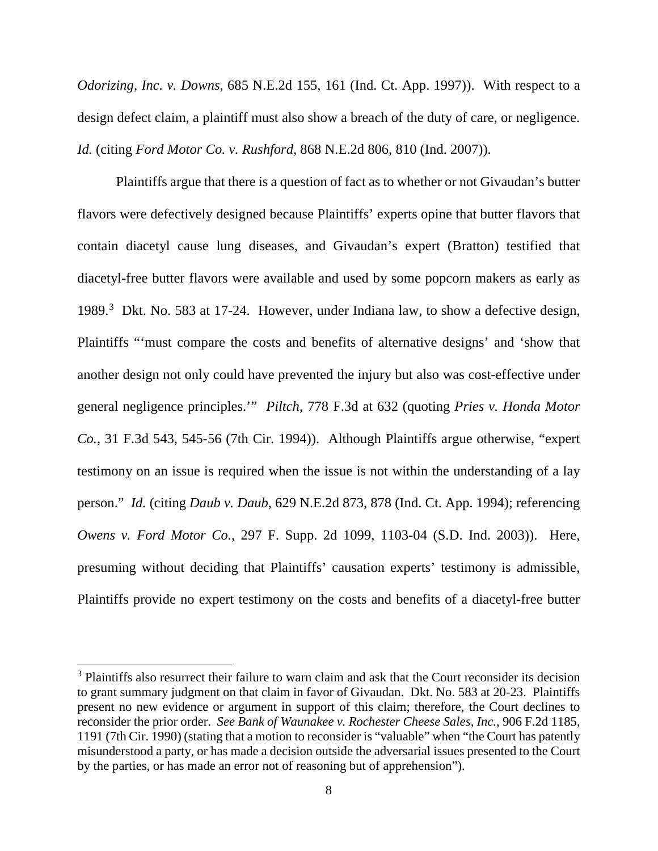*Odorizing, Inc. v. Downs*, 685 N.E.2d 155, 161 (Ind. Ct. App. 1997)). With respect to a design defect claim, a plaintiff must also show a breach of the duty of care, or negligence. *Id.* (citing *Ford Motor Co. v. Rushford*, 868 N.E.2d 806, 810 (Ind. 2007)).

Plaintiffs argue that there is a question of fact as to whether or not Givaudan's butter flavors were defectively designed because Plaintiffs' experts opine that butter flavors that contain diacetyl cause lung diseases, and Givaudan's expert (Bratton) testified that diacetyl-free butter flavors were available and used by some popcorn makers as early as 1989.<sup>[3](#page-7-0)</sup> Dkt. No. 583 at 17-24. However, under Indiana law, to show a defective design, Plaintiffs "'must compare the costs and benefits of alternative designs' and 'show that another design not only could have prevented the injury but also was cost-effective under general negligence principles.'" *Piltch*, 778 F.3d at 632 (quoting *Pries v. Honda Motor Co.*, 31 F.3d 543, 545-56 (7th Cir. 1994)). Although Plaintiffs argue otherwise, "expert testimony on an issue is required when the issue is not within the understanding of a lay person." *Id.* (citing *Daub v. Daub*, 629 N.E.2d 873, 878 (Ind. Ct. App. 1994); referencing *Owens v. Ford Motor Co.*, 297 F. Supp. 2d 1099, 1103-04 (S.D. Ind. 2003)). Here, presuming without deciding that Plaintiffs' causation experts' testimony is admissible, Plaintiffs provide no expert testimony on the costs and benefits of a diacetyl-free butter

<span id="page-7-0"></span><sup>&</sup>lt;sup>3</sup> Plaintiffs also resurrect their failure to warn claim and ask that the Court reconsider its decision to grant summary judgment on that claim in favor of Givaudan. Dkt. No. 583 at 20-23. Plaintiffs present no new evidence or argument in support of this claim; therefore, the Court declines to reconsider the prior order. *See Bank of Waunakee v. Rochester Cheese Sales, Inc.*, 906 F.2d 1185, 1191 (7th Cir. 1990) (stating that a motion to reconsider is "valuable" when "the Court has patently misunderstood a party, or has made a decision outside the adversarial issues presented to the Court by the parties, or has made an error not of reasoning but of apprehension").